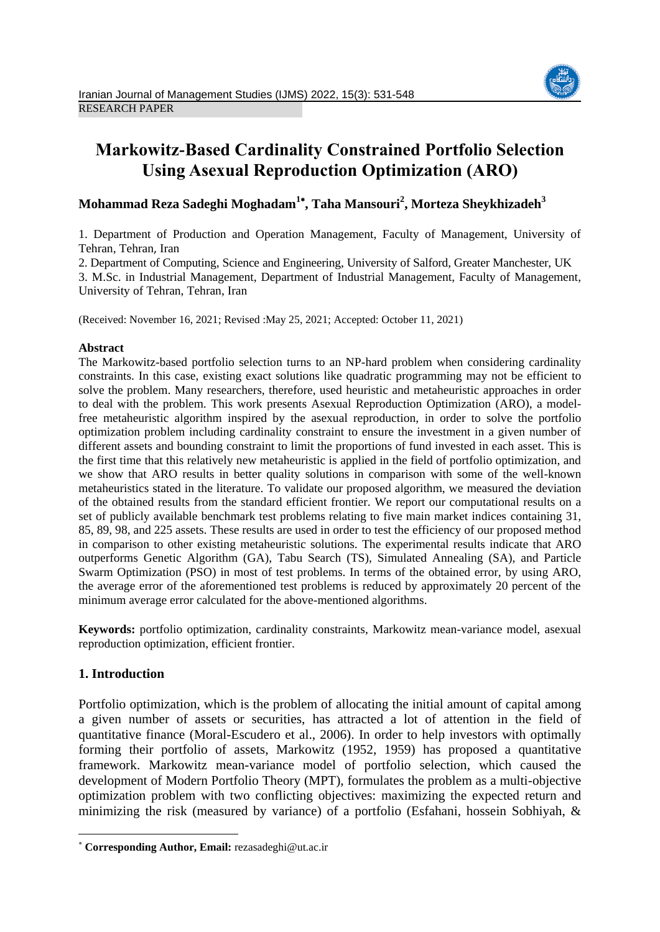

# **Markowitz-Based Cardinality Constrained Portfolio Selection Using Asexual Reproduction Optimization (ARO)**

## **Mohammad Reza Sadeghi Moghadam<sup>1</sup> , Taha Mansouri<sup>2</sup> , Morteza Sheykhizadeh<sup>3</sup>**

1. Department of Production and Operation Management, Faculty of Management, University of Tehran, Tehran, Iran

2. Department of Computing, Science and Engineering, University of Salford, Greater Manchester, UK 3. M.Sc. in Industrial Management, Department of Industrial Management, Faculty of Management, University of Tehran, Tehran, Iran

(Received: November 16, 2021; Revised :May 25, 2021; Accepted: October 11, 2021)

## **Abstract**

The Markowitz-based portfolio selection turns to an NP-hard problem when considering cardinality constraints. In this case, existing exact solutions like quadratic programming may not be efficient to solve the problem. Many researchers, therefore, used heuristic and metaheuristic approaches in order to deal with the problem. This work presents Asexual Reproduction Optimization (ARO), a modelfree metaheuristic algorithm inspired by the asexual reproduction, in order to solve the portfolio optimization problem including cardinality constraint to ensure the investment in a given number of different assets and bounding constraint to limit the proportions of fund invested in each asset. This is the first time that this relatively new metaheuristic is applied in the field of portfolio optimization, and we show that ARO results in better quality solutions in comparison with some of the well-known metaheuristics stated in the literature. To validate our proposed algorithm, we measured the deviation of the obtained results from the standard efficient frontier. We report our computational results on a set of publicly available benchmark test problems relating to five main market indices containing 31, 85, 89, 98, and 225 assets. These results are used in order to test the efficiency of our proposed method in comparison to other existing metaheuristic solutions. The experimental results indicate that ARO outperforms Genetic Algorithm (GA), Tabu Search (TS), Simulated Annealing (SA), and Particle Swarm Optimization (PSO) in most of test problems. In terms of the obtained error, by using ARO, the average error of the aforementioned test problems is reduced by approximately 20 percent of the minimum average error calculated for the above-mentioned algorithms.

**Keywords:** portfolio optimization, cardinality constraints, Markowitz mean-variance model, asexual reproduction optimization, efficient frontier.

## **1. Introduction**

1

Portfolio optimization, which is the problem of allocating the initial amount of capital among a given number of assets or securities, has attracted a lot of attention in the field of quantitative finance (Moral-Escudero et al., 2006). In order to help investors with optimally forming their portfolio of assets, Markowitz (1952, 1959) has proposed a quantitative framework. Markowitz mean-variance model of portfolio selection, which caused the development of Modern Portfolio Theory (MPT), formulates the problem as a multi-objective optimization problem with two conflicting objectives: maximizing the expected return and minimizing the risk (measured by variance) of a portfolio (Esfahani, hossein Sobhiyah, &

**Corresponding Author, Email:** rezasadeghi@ut.ac.ir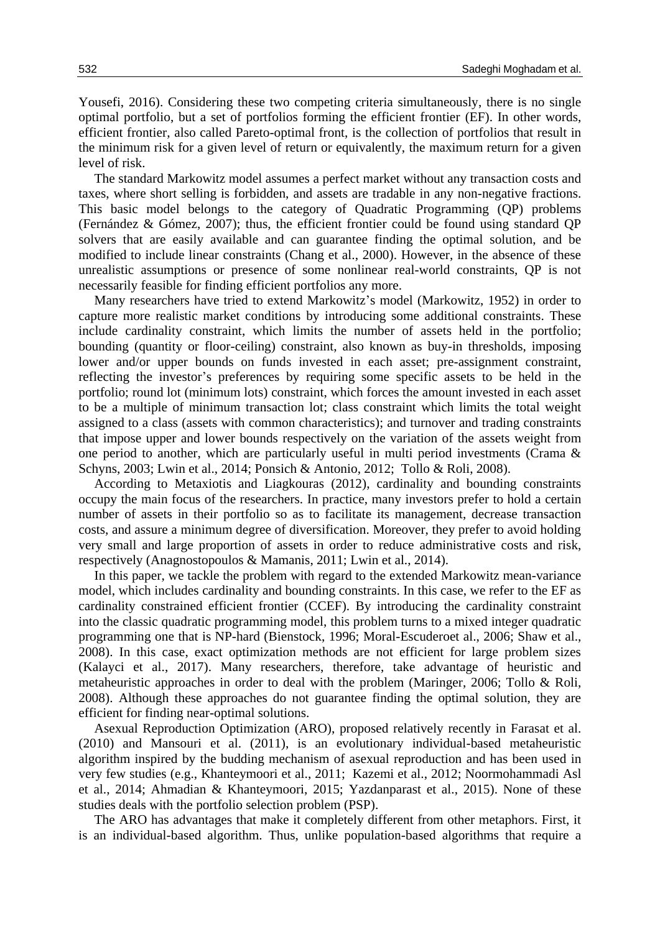Yousefi, 2016). Considering these two competing criteria simultaneously, there is no single optimal portfolio, but a set of portfolios forming the efficient frontier (EF). In other words, efficient frontier, also called Pareto-optimal front, is the collection of portfolios that result in the minimum risk for a given level of return or equivalently, the maximum return for a given level of risk.

The standard Markowitz model assumes a perfect market without any transaction costs and taxes, where short selling is forbidden, and assets are tradable in any non-negative fractions. This basic model belongs to the category of Quadratic Programming (QP) problems (Fernández & Gómez, 2007); thus, the efficient frontier could be found using standard QP solvers that are easily available and can guarantee finding the optimal solution, and be modified to include linear constraints (Chang et al., 2000). However, in the absence of these unrealistic assumptions or presence of some nonlinear real-world constraints, QP is not necessarily feasible for finding efficient portfolios any more.

Many researchers have tried to extend Markowitz's model (Markowitz, 1952) in order to capture more realistic market conditions by introducing some additional constraints. These include cardinality constraint, which limits the number of assets held in the portfolio; bounding (quantity or floor-ceiling) constraint, also known as buy-in thresholds, imposing lower and/or upper bounds on funds invested in each asset; pre-assignment constraint, reflecting the investor's preferences by requiring some specific assets to be held in the portfolio; round lot (minimum lots) constraint, which forces the amount invested in each asset to be a multiple of minimum transaction lot; class constraint which limits the total weight assigned to a class (assets with common characteristics); and turnover and trading constraints that impose upper and lower bounds respectively on the variation of the assets weight from one period to another, which are particularly useful in multi period investments (Crama & Schyns, 2003; Lwin et al., 2014; Ponsich & Antonio, 2012; Tollo & Roli, 2008).

According to Metaxiotis and Liagkouras (2012), cardinality and bounding constraints occupy the main focus of the researchers. In practice, many investors prefer to hold a certain number of assets in their portfolio so as to facilitate its management, decrease transaction costs, and assure a minimum degree of diversification. Moreover, they prefer to avoid holding very small and large proportion of assets in order to reduce administrative costs and risk, respectively (Anagnostopoulos & Mamanis, 2011; Lwin et al., 2014).

In this paper, we tackle the problem with regard to the extended Markowitz mean-variance model, which includes cardinality and bounding constraints. In this case, we refer to the EF as cardinality constrained efficient frontier (CCEF). By introducing the cardinality constraint into the classic quadratic programming model, this problem turns to a mixed integer quadratic programming one that is NP-hard (Bienstock, 1996; Moral-Escuderoet al., 2006; Shaw et al., 2008). In this case, exact optimization methods are not efficient for large problem sizes (Kalayci et al., 2017). Many researchers, therefore, take advantage of heuristic and metaheuristic approaches in order to deal with the problem (Maringer, 2006; Tollo & Roli, 2008). Although these approaches do not guarantee finding the optimal solution, they are efficient for finding near-optimal solutions.

Asexual Reproduction Optimization (ARO), proposed relatively recently in Farasat et al. (2010) and Mansouri et al. (2011), is an evolutionary individual-based metaheuristic algorithm inspired by the budding mechanism of asexual reproduction and has been used in very few studies (e.g., Khanteymoori et al., 2011; Kazemi et al., 2012; Noormohammadi Asl et al., 2014; Ahmadian & Khanteymoori, 2015; Yazdanparast et al., 2015). None of these studies deals with the portfolio selection problem (PSP).

The ARO has advantages that make it completely different from other metaphors. First, it is an individual-based algorithm. Thus, unlike population-based algorithms that require a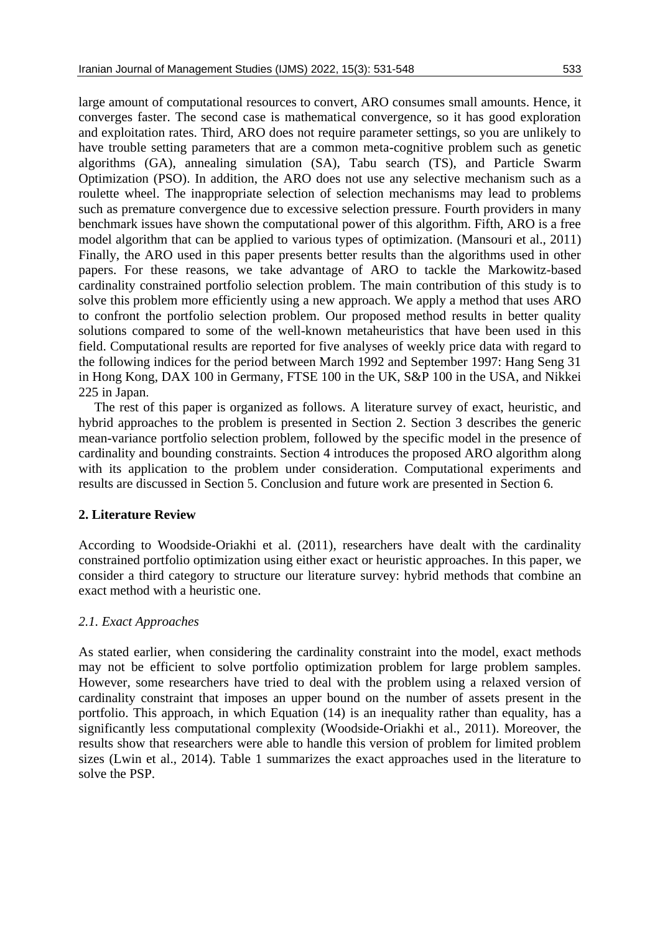large amount of computational resources to convert, ARO consumes small amounts. Hence, it converges faster. The second case is mathematical convergence, so it has good exploration and exploitation rates. Third, ARO does not require parameter settings, so you are unlikely to have trouble setting parameters that are a common meta-cognitive problem such as genetic algorithms (GA), annealing simulation (SA), Tabu search (TS), and Particle Swarm Optimization (PSO). In addition, the ARO does not use any selective mechanism such as a roulette wheel. The inappropriate selection of selection mechanisms may lead to problems such as premature convergence due to excessive selection pressure. Fourth providers in many benchmark issues have shown the computational power of this algorithm. Fifth, ARO is a free model algorithm that can be applied to various types of optimization. (Mansouri et al., 2011) Finally, the ARO used in this paper presents better results than the algorithms used in other papers. For these reasons, we take advantage of ARO to tackle the Markowitz-based cardinality constrained portfolio selection problem. The main contribution of this study is to solve this problem more efficiently using a new approach. We apply a method that uses ARO to confront the portfolio selection problem. Our proposed method results in better quality solutions compared to some of the well-known metaheuristics that have been used in this field. Computational results are reported for five analyses of weekly price data with regard to the following indices for the period between March 1992 and September 1997: Hang Seng 31 in Hong Kong, DAX 100 in Germany, FTSE 100 in the UK, S&P 100 in the USA, and Nikkei 225 in Japan.

The rest of this paper is organized as follows. A literature survey of exact, heuristic, and hybrid approaches to the problem is presented in Section 2. Section 3 describes the generic mean-variance portfolio selection problem, followed by the specific model in the presence of cardinality and bounding constraints. Section 4 introduces the proposed ARO algorithm along with its application to the problem under consideration. Computational experiments and results are discussed in Section 5. Conclusion and future work are presented in Section 6.

## **2. Literature Review**

According to Woodside-Oriakhi et al. (2011), researchers have dealt with the cardinality constrained portfolio optimization using either exact or heuristic approaches. In this paper, we consider a third category to structure our literature survey: hybrid methods that combine an exact method with a heuristic one.

## *2.1. Exact Approaches*

As stated earlier, when considering the cardinality constraint into the model, exact methods may not be efficient to solve portfolio optimization problem for large problem samples. However, some researchers have tried to deal with the problem using a relaxed version of cardinality constraint that imposes an upper bound on the number of assets present in the portfolio. This approach, in which Equation (14) is an inequality rather than equality, has a significantly less computational complexity (Woodside-Oriakhi et al., 2011). Moreover, the results show that researchers were able to handle this version of problem for limited problem sizes (Lwin et al., 2014). Table 1 summarizes the exact approaches used in the literature to solve the PSP.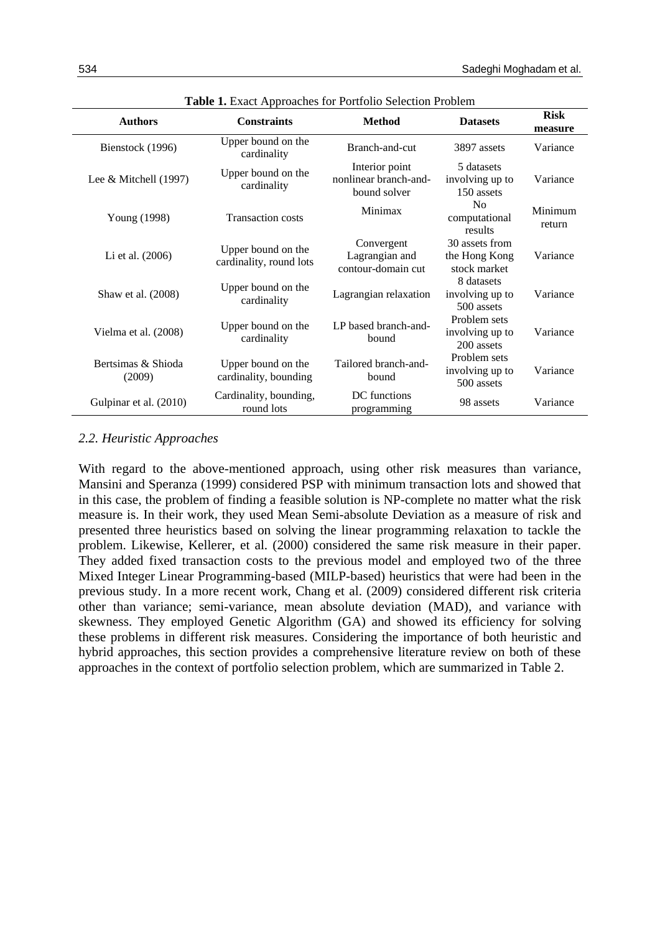| <b>Authors</b>                                          | <b>Constraints</b>                            | <b>Method</b>                                           | <b>Datasets</b>                                 | <b>Risk</b><br>measure |
|---------------------------------------------------------|-----------------------------------------------|---------------------------------------------------------|-------------------------------------------------|------------------------|
| Bienstock (1996)                                        | Upper bound on the<br>cardinality             |                                                         | 3897 assets                                     | Variance               |
| Lee & Mitchell $(1997)$                                 | Upper bound on the<br>cardinality             | Interior point<br>nonlinear branch-and-<br>bound solver | 5 datasets<br>involving up to<br>150 assets     | Variance               |
| Young (1998)                                            | <b>Transaction costs</b>                      | Minimax                                                 | No<br>computational<br>results                  | Minimum<br>return      |
| Li et al. $(2006)$                                      | Upper bound on the<br>cardinality, round lots | Convergent<br>Lagrangian and<br>contour-domain cut      | 30 assets from<br>the Hong Kong<br>stock market | Variance               |
| Upper bound on the<br>Shaw et al. (2008)<br>cardinality |                                               | Lagrangian relaxation                                   | 8 datasets<br>involving up to<br>500 assets     | Variance               |
| Vielma et al. (2008)                                    | Upper bound on the<br>cardinality             | LP based branch-and-<br>bound                           | Problem sets<br>involving up to<br>200 assets   | Variance               |
| Bertsimas & Shioda<br>(2009)                            | Upper bound on the<br>cardinality, bounding   | Tailored branch-and-<br>bound                           | Problem sets<br>involving up to<br>500 assets   | Variance               |
| Gulpinar et al. (2010)                                  | Cardinality, bounding,<br>round lots          | DC functions<br>programming                             | 98 assets                                       | Variance               |

**Table 1.** Exact Approaches for Portfolio Selection Problem

## *2.2. Heuristic Approaches*

With regard to the above-mentioned approach, using other risk measures than variance, Mansini and Speranza (1999) considered PSP with minimum transaction lots and showed that in this case, the problem of finding a feasible solution is NP-complete no matter what the risk measure is. In their work, they used Mean Semi-absolute Deviation as a measure of risk and presented three heuristics based on solving the linear programming relaxation to tackle the problem. Likewise, Kellerer, et al. (2000) considered the same risk measure in their paper. They added fixed transaction costs to the previous model and employed two of the three Mixed Integer Linear Programming-based (MILP-based) heuristics that were had been in the previous study. In a more recent work, Chang et al. (2009) considered different risk criteria other than variance; semi-variance, mean absolute deviation (MAD), and variance with skewness. They employed Genetic Algorithm (GA) and showed its efficiency for solving these problems in different risk measures. Considering the importance of both heuristic and hybrid approaches, this section provides a comprehensive literature review on both of these approaches in the context of portfolio selection problem, which are summarized in Table 2.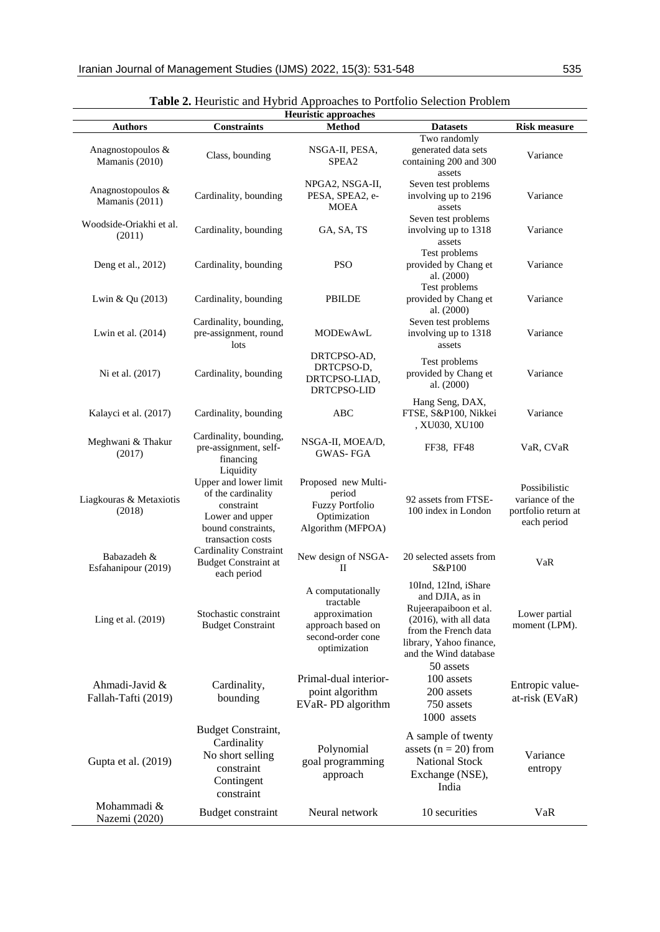| <b>Heuristic approaches</b>           |                                                                                                                 |                                                                                                           |                                                                                                                                                                          |                                                                        |  |  |  |  |
|---------------------------------------|-----------------------------------------------------------------------------------------------------------------|-----------------------------------------------------------------------------------------------------------|--------------------------------------------------------------------------------------------------------------------------------------------------------------------------|------------------------------------------------------------------------|--|--|--|--|
| <b>Authors</b>                        | <b>Constraints</b>                                                                                              | <b>Method</b>                                                                                             | <b>Datasets</b>                                                                                                                                                          | <b>Risk measure</b>                                                    |  |  |  |  |
| Anagnostopoulos &<br>Mamanis (2010)   | Class, bounding                                                                                                 | NSGA-II, PESA,<br>SPEA2                                                                                   | Two randomly<br>generated data sets<br>containing 200 and 300<br>assets                                                                                                  | Variance                                                               |  |  |  |  |
| Anagnostopoulos &<br>Mamanis (2011)   | Cardinality, bounding                                                                                           | NPGA2, NSGA-II,<br>PESA, SPEA2, e-<br><b>MOEA</b>                                                         | Seven test problems<br>involving up to 2196<br>assets                                                                                                                    | Variance                                                               |  |  |  |  |
| Woodside-Oriakhi et al.<br>(2011)     | Cardinality, bounding                                                                                           | GA, SA, TS                                                                                                | Seven test problems<br>involving up to 1318<br>assets                                                                                                                    | Variance                                                               |  |  |  |  |
| Deng et al., 2012)                    | Cardinality, bounding                                                                                           | <b>PSO</b>                                                                                                | Test problems<br>provided by Chang et<br>al. (2000)                                                                                                                      | Variance                                                               |  |  |  |  |
| Lwin & Qu (2013)                      | Cardinality, bounding                                                                                           | <b>PBILDE</b>                                                                                             | Test problems<br>provided by Chang et<br>al. (2000)                                                                                                                      | Variance                                                               |  |  |  |  |
| Lwin et al. (2014)                    | Cardinality, bounding,<br>pre-assignment, round<br>lots                                                         | <b>MODEwAwL</b>                                                                                           | Seven test problems<br>involving up to 1318<br>assets                                                                                                                    | Variance                                                               |  |  |  |  |
| Ni et al. (2017)                      | Cardinality, bounding                                                                                           | DRTCPSO-AD,<br>DRTCPSO-D,<br>DRTCPSO-LIAD,<br>DRTCPSO-LID                                                 | Test problems<br>provided by Chang et<br>al. (2000)                                                                                                                      | Variance                                                               |  |  |  |  |
| Kalayci et al. (2017)                 | Cardinality, bounding                                                                                           | <b>ABC</b>                                                                                                | Hang Seng, DAX,<br>FTSE, S&P100, Nikkei<br>, XU030, XU100                                                                                                                | Variance                                                               |  |  |  |  |
| Meghwani & Thakur<br>(2017)           | Cardinality, bounding,<br>pre-assignment, self-<br>financing                                                    | NSGA-II, MOEA/D,<br><b>GWAS-FGA</b>                                                                       | FF38, FF48                                                                                                                                                               | VaR, CVaR                                                              |  |  |  |  |
| Liagkouras & Metaxiotis<br>(2018)     | Liquidity<br>Upper and lower limit<br>of the cardinality<br>constraint<br>Lower and upper<br>bound constraints, | Proposed new Multi-<br>period<br><b>Fuzzy Portfolio</b><br>Optimization<br>Algorithm (MFPOA)              | 92 assets from FTSE-<br>100 index in London                                                                                                                              | Possibilistic<br>variance of the<br>portfolio return at<br>each period |  |  |  |  |
| Babazadeh &<br>Esfahanipour (2019)    | transaction costs<br><b>Cardinality Constraint</b><br><b>Budget Constraint at</b><br>each period                | New design of NSGA-<br>$\mathbf{I}$                                                                       | 20 selected assets from<br>S&P100                                                                                                                                        | VaR                                                                    |  |  |  |  |
| Ling et al. (2019)                    | Stochastic constraint<br><b>Budget Constraint</b>                                                               | A computationally<br>tractable<br>approximation<br>approach based on<br>second-order cone<br>optimization | 10Ind, 12Ind, iShare<br>and DJIA, as in<br>Rujeerapaiboon et al.<br>$(2016)$ , with all data<br>from the French data<br>library, Yahoo finance,<br>and the Wind database | Lower partial<br>moment (LPM).                                         |  |  |  |  |
| Ahmadi-Javid &<br>Fallah-Tafti (2019) | Cardinality,<br>bounding                                                                                        | Primal-dual interior-<br>point algorithm<br>EVaR-PD algorithm                                             | 50 assets<br>100 assets<br>200 assets<br>750 assets<br>1000 assets                                                                                                       | Entropic value-<br>at-risk (EVaR)                                      |  |  |  |  |
| Gupta et al. (2019)                   | Budget Constraint,<br>Cardinality<br>No short selling<br>constraint<br>Contingent<br>constraint                 | Polynomial<br>goal programming<br>approach                                                                | A sample of twenty<br>assets $(n = 20)$ from<br><b>National Stock</b><br>Exchange (NSE),<br>India                                                                        | Variance<br>entropy                                                    |  |  |  |  |
| Mohammadi &<br>Nazemi (2020)          | Budget constraint                                                                                               | Neural network                                                                                            | 10 securities                                                                                                                                                            | VaR                                                                    |  |  |  |  |

| Table 2. Heuristic and Hybrid Approaches to Portfolio Selection Problem |  |
|-------------------------------------------------------------------------|--|
|-------------------------------------------------------------------------|--|

J.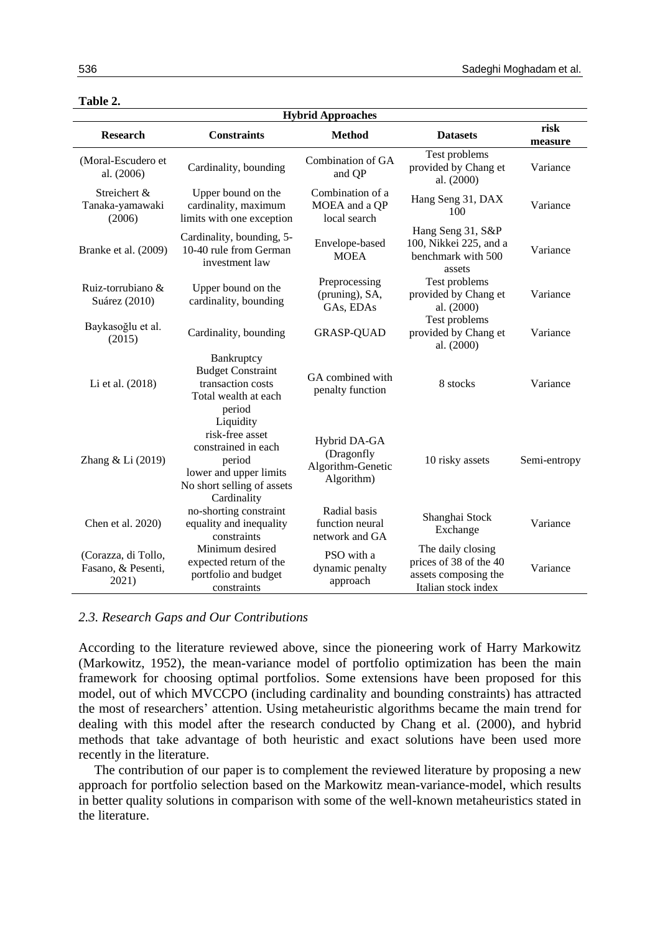| <b>Hybrid Approaches</b>                           |                                                                                                                         |                                                               |                                                                                            |                 |  |  |  |
|----------------------------------------------------|-------------------------------------------------------------------------------------------------------------------------|---------------------------------------------------------------|--------------------------------------------------------------------------------------------|-----------------|--|--|--|
| <b>Research</b><br><b>Constraints</b>              |                                                                                                                         | <b>Method</b>                                                 | <b>Datasets</b>                                                                            | risk<br>measure |  |  |  |
| (Moral-Escudero et<br>al. (2006)                   | Cardinality, bounding                                                                                                   | Combination of GA<br>and QP                                   | Test problems<br>provided by Chang et<br>al. (2000)                                        | Variance        |  |  |  |
| Streichert &<br>Tanaka-yamawaki<br>(2006)          | Upper bound on the<br>cardinality, maximum<br>limits with one exception                                                 | Combination of a<br>MOEA and a QP<br>local search             | Hang Seng 31, DAX<br>100                                                                   | Variance        |  |  |  |
| Branke et al. (2009)                               | Cardinality, bounding, 5-<br>10-40 rule from German<br>investment law                                                   | Envelope-based<br><b>MOEA</b>                                 | Hang Seng 31, S&P<br>100, Nikkei 225, and a<br>benchmark with 500<br>assets                | Variance        |  |  |  |
| Ruiz-torrubiano &<br>Suárez (2010)                 | Upper bound on the<br>cardinality, bounding                                                                             | Preprocessing<br>(pruning), SA,<br>GAs, EDAs                  | Test problems<br>provided by Chang et<br>al. (2000)                                        | Variance        |  |  |  |
| Baykasoğlu et al.<br>(2015)                        | Cardinality, bounding<br><b>GRASP-QUAD</b>                                                                              |                                                               | Test problems<br>provided by Chang et<br>al. (2000)                                        | Variance        |  |  |  |
| Li et al. (2018)                                   | Bankruptcy<br><b>Budget Constraint</b><br>transaction costs<br>Total wealth at each<br>period<br>Liquidity              | GA combined with<br>penalty function                          | 8 stocks                                                                                   | Variance        |  |  |  |
| Zhang & Li (2019)                                  | risk-free asset<br>constrained in each<br>period<br>lower and upper limits<br>No short selling of assets<br>Cardinality | Hybrid DA-GA<br>(Dragonfly<br>Algorithm-Genetic<br>Algorithm) | 10 risky assets                                                                            | Semi-entropy    |  |  |  |
| Chen et al. 2020)                                  | no-shorting constraint<br>equality and inequality<br>constraints                                                        | Radial basis<br>function neural<br>network and GA             | Shanghai Stock<br>Exchange                                                                 | Variance        |  |  |  |
| (Corazza, di Tollo,<br>Fasano, & Pesenti,<br>2021) | Minimum desired<br>expected return of the<br>portfolio and budget<br>constraints                                        | PSO with a<br>dynamic penalty<br>approach                     | The daily closing<br>prices of 38 of the 40<br>assets composing the<br>Italian stock index | Variance        |  |  |  |

#### **Table 2.**

## *2.3. Research Gaps and Our Contributions*

According to the literature reviewed above, since the pioneering work of Harry Markowitz (Markowitz, 1952), the mean-variance model of portfolio optimization has been the main framework for choosing optimal portfolios. Some extensions have been proposed for this model, out of which MVCCPO (including cardinality and bounding constraints) has attracted the most of researchers' attention. Using metaheuristic algorithms became the main trend for dealing with this model after the research conducted by Chang et al. (2000), and hybrid methods that take advantage of both heuristic and exact solutions have been used more recently in the literature.

The contribution of our paper is to complement the reviewed literature by proposing a new approach for portfolio selection based on the Markowitz mean-variance-model, which results in better quality solutions in comparison with some of the well-known metaheuristics stated in the literature.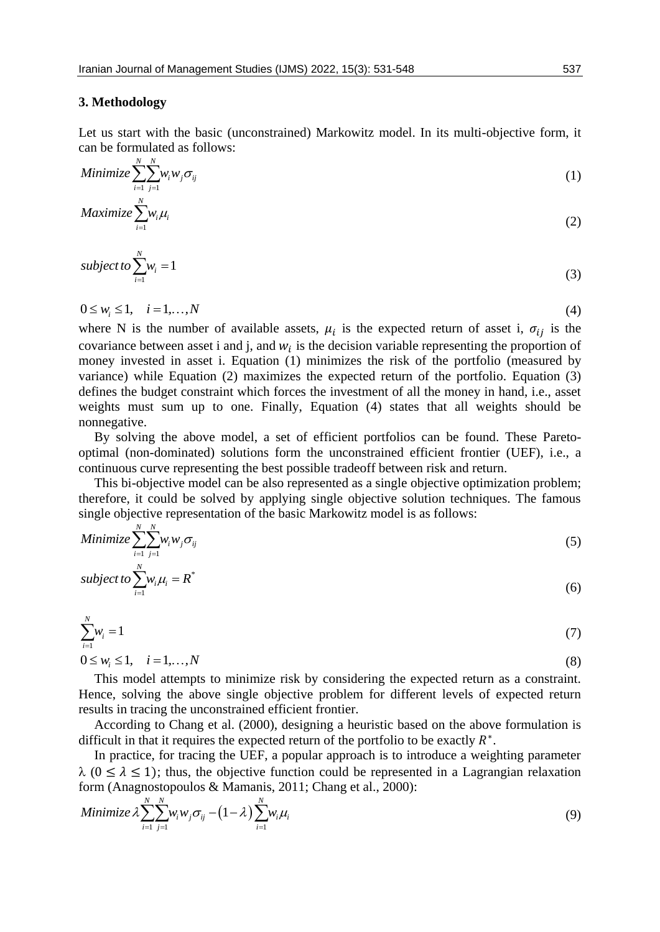### **3. Methodology**

Let us start with the basic (unconstrained) Markowitz model. In its multi-objective form, it can be formulated as follows:

Minimize 
$$
\sum_{i=1}^{N} \sum_{j=1}^{N} w_i w_j \sigma_{ij}
$$
 (1)

$$
Maximize \sum_{i=1}^{n} w_i \mu_i
$$
 (2)

subject to 
$$
\sum_{i=1}^{N} w_i = 1
$$
 (3)

$$
0 \le w_i \le 1, \quad i = 1, \dots, N \tag{4}
$$

where N is the number of available assets,  $\mu_i$  is the expected return of asset i,  $\sigma_{ij}$  is the covariance between asset i and j, and  $w_i$  is the decision variable representing the proportion of money invested in asset i. Equation (1) minimizes the risk of the portfolio (measured by variance) while Equation (2) maximizes the expected return of the portfolio. Equation (3) defines the budget constraint which forces the investment of all the money in hand, i.e., asset weights must sum up to one. Finally, Equation (4) states that all weights should be nonnegative.

By solving the above model, a set of efficient portfolios can be found. These Paretooptimal (non-dominated) solutions form the unconstrained efficient frontier (UEF), i.e., a continuous curve representing the best possible tradeoff between risk and return.

This bi-objective model can be also represented as a single objective optimization problem; therefore, it could be solved by applying single objective solution techniques. The famous single objective representation of the basic Markowitz model is as follows:

Minimize 
$$
\sum_{i=1}^{N} \sum_{j=1}^{N} w_i w_j \sigma_{ij}
$$
 (5)

subject to 
$$
\sum_{i=1}^{N} w_i \mu_i = R^*
$$
 (6)

$$
\sum_{i=1}^{N} w_i = 1 \tag{7}
$$

$$
0 \le w_i \le 1, \quad i = 1, ..., N \tag{8}
$$

This model attempts to minimize risk by considering the expected return as a constraint. Hence, solving the above single objective problem for different levels of expected return results in tracing the unconstrained efficient frontier.

According to Chang et al. (2000), designing a heuristic based on the above formulation is difficult in that it requires the expected return of the portfolio to be exactly  $R^*$ .

In practice, for tracing the UEF, a popular approach is to introduce a weighting parameter  $\lambda$  ( $0 \le \lambda \le 1$ ); thus, the objective function could be represented in a Lagrangian relaxation

form (Anagnostopoulos & Mamanis, 2011; Chang et al., 2000):  
\nMinimize 
$$
\lambda \sum_{i=1}^{N} \sum_{j=1}^{N} w_i w_j \sigma_{ij} - (1-\lambda) \sum_{i=1}^{N} w_i \mu_i
$$
 (9)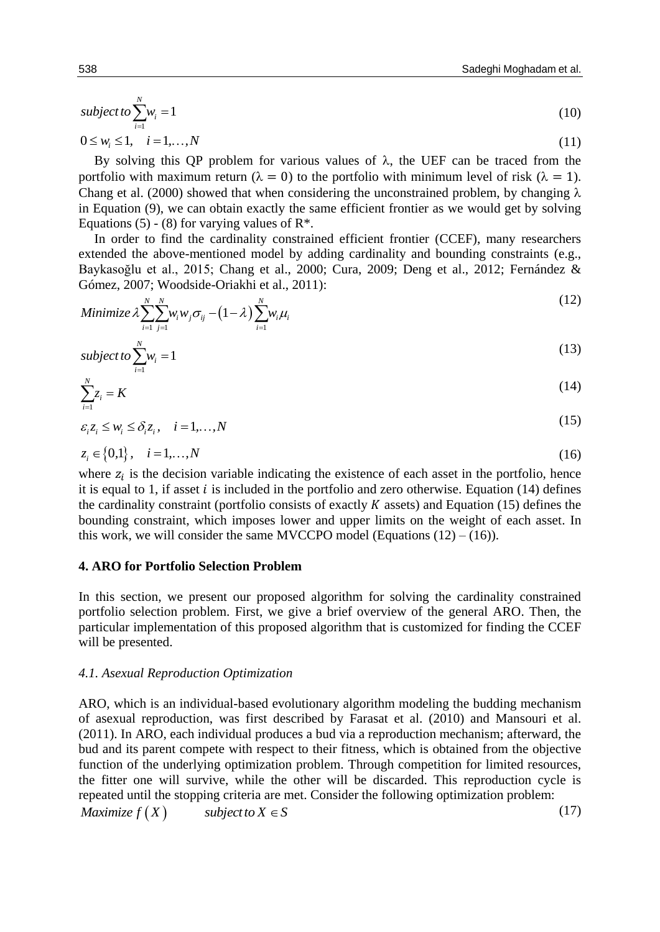(11)

$$
subject to \sum_{i=1}^{N} w_i = 1 \tag{10}
$$

 $0 \leq w_i \leq 1, \quad i = 1, ..., N$ 

By solving this QP problem for various values of  $\lambda$ , the UEF can be traced from the portfolio with maximum return ( $\lambda = 0$ ) to the portfolio with minimum level of risk ( $\lambda = 1$ ). Chang et al. (2000) showed that when considering the unconstrained problem, by changing  $\lambda$ in Equation (9), we can obtain exactly the same efficient frontier as we would get by solving Equations (5) - (8) for varying values of  $\mathbb{R}^*$ .

In order to find the cardinality constrained efficient frontier (CCEF), many researchers extended the above-mentioned model by adding cardinality and bounding constraints (e.g., Baykasoğlu et al., 2015; Chang et al., 2000; Cura, 2009; Deng et al., 2012; Fernández & Gómez, 2007; Woodside-Oriakhi et al., 2011):

Gómez, 2007; Woodside-Oriakhi et al., 2011):  
\nMinimize 
$$
\lambda \sum_{i=1}^{N} \sum_{j=1}^{N} w_i w_j \sigma_{ij} - (1 - \lambda) \sum_{i=1}^{N} w_i \mu_i
$$
 (12)

$$
subject to \sum_{i=1}^{N} w_i = 1 \tag{13}
$$

$$
\sum_{i=1}^{N} z_i = K \tag{14}
$$

$$
\varepsilon_i z_i \le w_i \le \delta_i z_i, \quad i = 1, \dots, N
$$
\n
$$
(15)
$$

$$
z_i \in \{0, 1\}, \quad i = 1, \dots, N \tag{16}
$$

where  $z_i$  is the decision variable indicating the existence of each asset in the portfolio, hence it is equal to 1, if asset  $i$  is included in the portfolio and zero otherwise. Equation (14) defines the cardinality constraint (portfolio consists of exactly  $K$  assets) and Equation (15) defines the bounding constraint, which imposes lower and upper limits on the weight of each asset. In this work, we will consider the same MVCCPO model (Equations  $(12) - (16)$ ).

## **4. ARO for Portfolio Selection Problem**

In this section, we present our proposed algorithm for solving the cardinality constrained portfolio selection problem. First, we give a brief overview of the general ARO. Then, the particular implementation of this proposed algorithm that is customized for finding the CCEF will be presented.

## *4.1. Asexual Reproduction Optimization*

ARO, which is an individual-based evolutionary algorithm modeling the budding mechanism of asexual reproduction, was first described by Farasat et al. (2010) and Mansouri et al. (2011). In ARO, each individual produces a bud via a reproduction mechanism; afterward, the bud and its parent compete with respect to their fitness, which is obtained from the objective function of the underlying optimization problem. Through competition for limited resources, the fitter one will survive, while the other will be discarded. This reproduction cycle is repeated until the stopping criteria are met. Consider the following optimization problem:<br> *Maximize f* (*X*)  $subject to X \in S$ (17)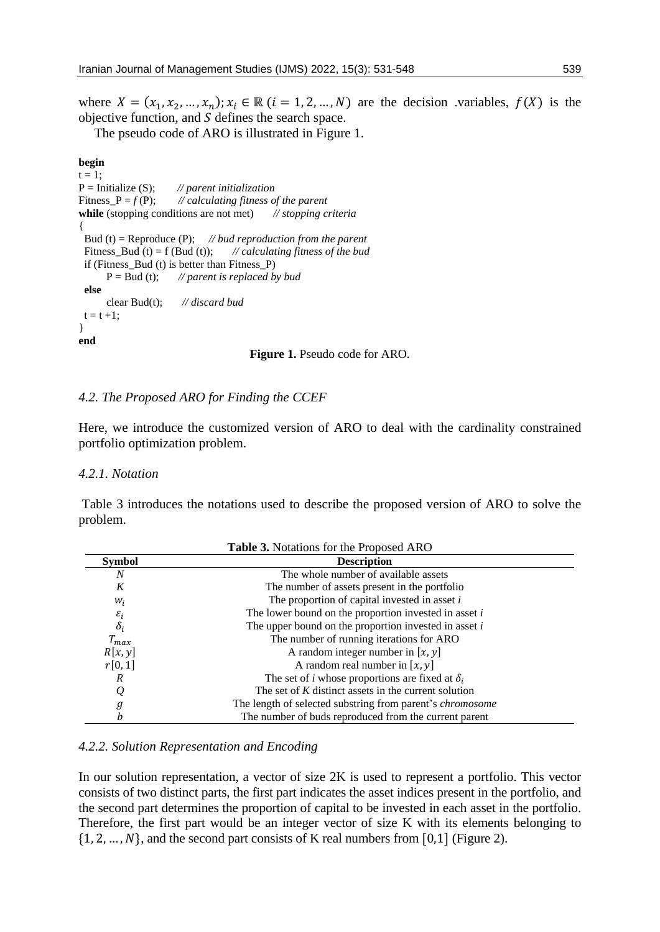where  $X = (x_1, x_2, ..., x_n); x_i \in \mathbb{R}$   $(i = 1, 2, ..., N)$  are the decision variables,  $f(X)$  is the objective function, and  $S$  defines the search space.

The pseudo code of ARO is illustrated in Figure 1.

#### **begin**

```
t = 1:
P = Initialize (S); // parent initialization
Fitness_P = f (P); // calculating fitness of the parent
while (stopping conditions are not met) // stopping criteria
{
  Bud (t) = Reproduce (P); // bud reproduction from the parent
 Fitness Bud (t) = f (Bud (t)); // calculating fitness of the bud
 if (Fitness Bud (t) is better than Fitness P)
       P = Bud (t); // parent is replaced by bud
  else
       clear Bud(t); // discard bud
 t = t + 1;}
end
```
**Figure 1.** Pseudo code for ARO.

## *4.2. The Proposed ARO for Finding the CCEF*

Here, we introduce the customized version of ARO to deal with the cardinality constrained portfolio optimization problem.

## *4.2.1. Notation*

Table 3 introduces the notations used to describe the proposed version of ARO to solve the problem.

| <b>Table 3.</b> Notations for the Proposed ARO |                                                                  |  |  |  |  |
|------------------------------------------------|------------------------------------------------------------------|--|--|--|--|
| <b>Symbol</b>                                  | <b>Description</b>                                               |  |  |  |  |
| N                                              | The whole number of available assets                             |  |  |  |  |
| K                                              | The number of assets present in the portfolio                    |  |  |  |  |
| $W_i$                                          | The proportion of capital invested in asset $i$                  |  |  |  |  |
| $\varepsilon_i$                                | The lower bound on the proportion invested in asset $i$          |  |  |  |  |
| $\delta_i$                                     | The upper bound on the proportion invested in asset $i$          |  |  |  |  |
| $T_{max}$                                      | The number of running iterations for ARO                         |  |  |  |  |
| R[x, y]                                        | A random integer number in $[x, y]$                              |  |  |  |  |
| r[0,1]                                         | A random real number in $[x, y]$                                 |  |  |  |  |
| R                                              | The set of <i>i</i> whose proportions are fixed at $\delta_i$    |  |  |  |  |
| $\varrho$                                      | The set of $K$ distinct assets in the current solution           |  |  |  |  |
| $\it{g}$                                       | The length of selected substring from parent's <i>chromosome</i> |  |  |  |  |
|                                                | The number of buds reproduced from the current parent            |  |  |  |  |

## *4.2.2. Solution Representation and Encoding*

In our solution representation, a vector of size 2K is used to represent a portfolio. This vector consists of two distinct parts, the first part indicates the asset indices present in the portfolio, and the second part determines the proportion of capital to be invested in each asset in the portfolio. Therefore, the first part would be an integer vector of size K with its elements belonging to  $\{1, 2, ..., N\}$ , and the second part consists of K real numbers from [0,1] (Figure 2).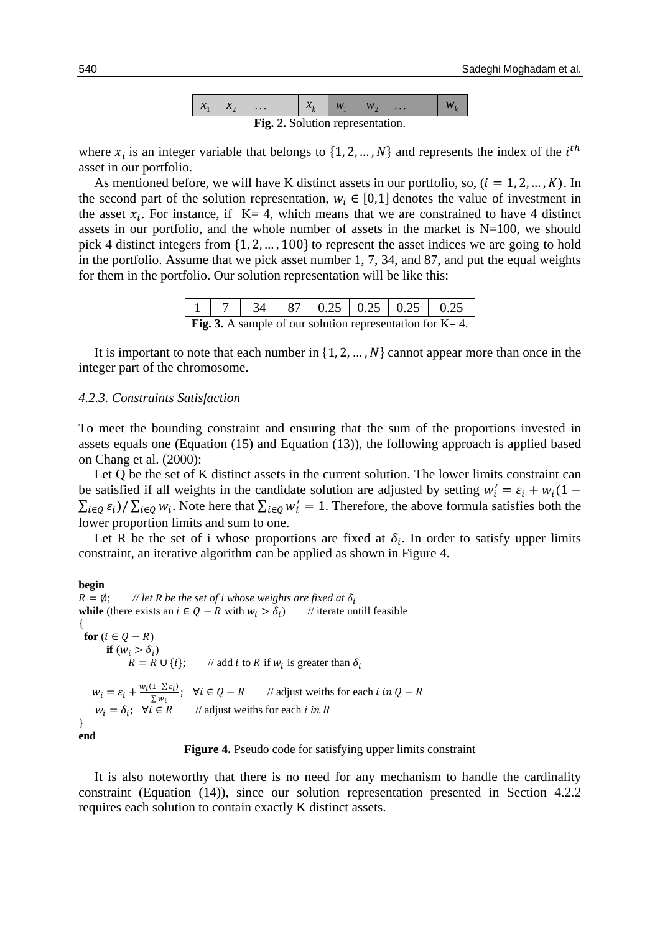| $\mathbf{v}$ | -- | $\ddots$ | $\overline{a}$ |  | $\cdots$ |  |
|--------------|----|----------|----------------|--|----------|--|
|              |    | T.       | $\sim$ 1.1     |  |          |  |

**Fig. 2.** Solution representation.

where  $x_i$  is an integer variable that belongs to  $\{1, 2, ..., N\}$  and represents the index of the  $i^{th}$ asset in our portfolio.

As mentioned before, we will have K distinct assets in our portfolio, so,  $(i = 1, 2, ..., K)$ . In the second part of the solution representation,  $w_i \in [0,1]$  denotes the value of investment in the asset  $x_i$ . For instance, if K= 4, which means that we are constrained to have 4 distinct assets in our portfolio, and the whole number of assets in the market is  $N=100$ , we should pick 4 distinct integers from {1, 2, … , 100} to represent the asset indices we are going to hold in the portfolio. Assume that we pick asset number 1, 7, 34, and 87, and put the equal weights for them in the portfolio. Our solution representation will be like this:

|                                                                      |  |  |  |  |  | $34$   87   0.25   0.25   0.25   0.25 |  |
|----------------------------------------------------------------------|--|--|--|--|--|---------------------------------------|--|
| <b>Fig. 3.</b> A sample of our solution representation for $K = 4$ . |  |  |  |  |  |                                       |  |

It is important to note that each number in  $\{1, 2, ..., N\}$  cannot appear more than once in the integer part of the chromosome.

#### *4.2.3. Constraints Satisfaction*

To meet the bounding constraint and ensuring that the sum of the proportions invested in assets equals one (Equation (15) and Equation (13)), the following approach is applied based on Chang et al. (2000):

Let Q be the set of K distinct assets in the current solution. The lower limits constraint can be satisfied if all weights in the candidate solution are adjusted by setting  $w'_i = \varepsilon_i + w_i(1 \sum_{i\in Q} \varepsilon_i$ )/  $\sum_{i\in Q} w_i$ . Note here that  $\sum_{i\in Q} w'_i = 1$ . Therefore, the above formula satisfies both the lower proportion limits and sum to one.

Let R be the set of i whose proportions are fixed at  $\delta_i$ . In order to satisfy upper limits constraint, an iterative algorithm can be applied as shown in Figure 4.

**begin**  $R = \emptyset$ ; // let R be the set of *i* whose weights are fixed at  $\delta_i$ **while** (there exists an *i* ∈  $Q - R$  with  $w_i > \delta_i$ ) // iterate untill feasible { for  $(i \in O - R)$ **if**  $(w_i > \delta_i)$  $R = R \cup \{i\};$  // add *i* to R if  $w_i$  is greater than  $\delta_i$  $W_i = \varepsilon_i + \frac{w_i(1-\sum \varepsilon_i)}{\sum w_i}$  $\Sigma w_i$ // adjust weiths for each *i* in  $Q - R$  $w_i = \delta_i; \forall i \in R$  // adjust weiths for each *i* in R } **end**

**Figure 4.** Pseudo code for satisfying upper limits constraint

It is also noteworthy that there is no need for any mechanism to handle the cardinality constraint (Equation (14)), since our solution representation presented in Section 4.2.2 requires each solution to contain exactly K distinct assets.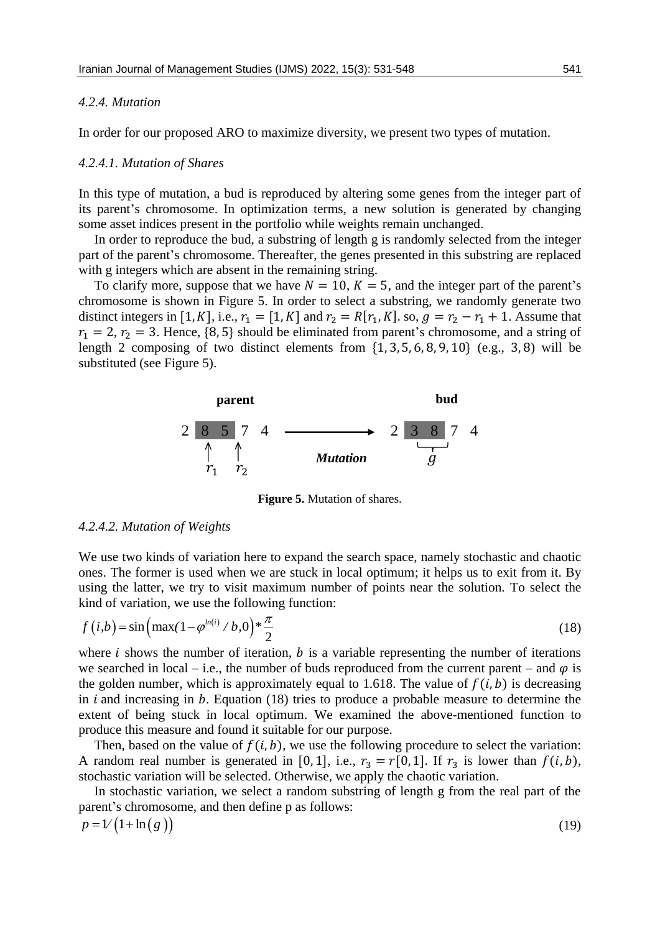#### *4.2.4. Mutation*

In order for our proposed ARO to maximize diversity, we present two types of mutation.

### *4.2.4.1. Mutation of Shares*

In this type of mutation, a bud is reproduced by altering some genes from the integer part of its parent's chromosome. In optimization terms, a new solution is generated by changing some asset indices present in the portfolio while weights remain unchanged.

In order to reproduce the bud, a substring of length g is randomly selected from the integer part of the parent's chromosome. Thereafter, the genes presented in this substring are replaced with g integers which are absent in the remaining string.

To clarify more, suppose that we have  $N = 10$ ,  $K = 5$ , and the integer part of the parent's chromosome is shown in Figure 5. In order to select a substring, we randomly generate two distinct integers in [1, K], i.e.,  $r_1 = [1, K]$  and  $r_2 = R[r_1, K]$ . so,  $g = r_2 - r_1 + 1$ . Assume that  $r_1 = 2$ ,  $r_2 = 3$ . Hence, {8, 5} should be eliminated from parent's chromosome, and a string of length 2 composing of two distinct elements from  $\{1, 3, 5, 6, 8, 9, 10\}$  (e.g., 3,8) will be substituted (see Figure 5).



**Figure 5.** Mutation of shares.

#### *4.2.4.2. Mutation of Weights*

We use two kinds of variation here to expand the search space, namely stochastic and chaotic ones. The former is used when we are stuck in local optimum; it helps us to exit from it. By using the latter, we try to visit maximum number of points near the solution. To select the

kind of variation, we use the following function:  
\n
$$
f(i,b) = \sin\left(\max(1 - \varphi^{ln(i)}/b, 0)\right) * \frac{\pi}{2}
$$
\n(18)

where  $i$  shows the number of iteration,  $b$  is a variable representing the number of iterations we searched in local – i.e., the number of buds reproduced from the current parent – and  $\varphi$  is the golden number, which is approximately equal to 1.618. The value of  $f(i, b)$  is decreasing in  $i$  and increasing in  $b$ . Equation (18) tries to produce a probable measure to determine the extent of being stuck in local optimum. We examined the above-mentioned function to produce this measure and found it suitable for our purpose.

Then, based on the value of  $f(i, b)$ , we use the following procedure to select the variation: A random real number is generated in [0, 1], i.e.,  $r_3 = r[0, 1]$ . If  $r_3$  is lower than  $f(i, b)$ , stochastic variation will be selected. Otherwise, we apply the chaotic variation.

In stochastic variation, we select a random substring of length g from the real part of the parent's chromosome, and then define p as follows:

$$
p = \mathcal{V}\left(1 + \ln\left(g\right)\right) \tag{19}
$$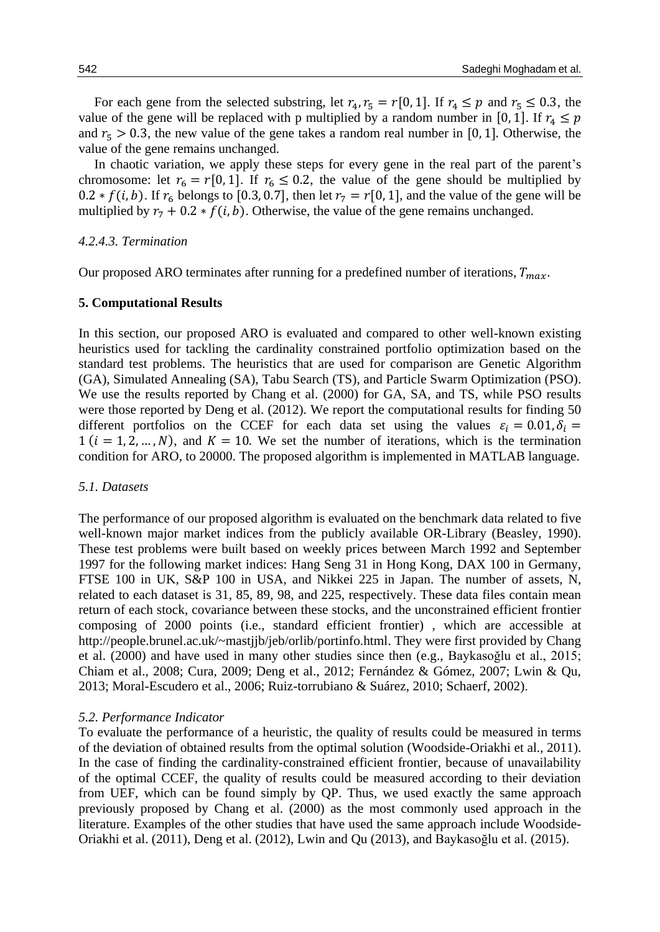For each gene from the selected substring, let  $r_4$ ,  $r_5 = r[0, 1]$ . If  $r_4 \le p$  and  $r_5 \le 0.3$ , the value of the gene will be replaced with p multiplied by a random number in [0, 1]. If  $r_4 \leq p$ and  $r_5 > 0.3$ , the new value of the gene takes a random real number in [0, 1]. Otherwise, the value of the gene remains unchanged.

In chaotic variation, we apply these steps for every gene in the real part of the parent's chromosome: let  $r_6 = r[0, 1]$ . If  $r_6 \le 0.2$ , the value of the gene should be multiplied by 0.2 \*  $f(i, b)$ . If  $r_6$  belongs to [0.3, 0.7], then let  $r_7 = r[0, 1]$ , and the value of the gene will be multiplied by  $r_7 + 0.2 * f(i, b)$ . Otherwise, the value of the gene remains unchanged.

#### *4.2.4.3. Termination*

Our proposed ARO terminates after running for a predefined number of iterations,  $T_{max}$ .

#### **5. Computational Results**

In this section, our proposed ARO is evaluated and compared to other well-known existing heuristics used for tackling the cardinality constrained portfolio optimization based on the standard test problems. The heuristics that are used for comparison are Genetic Algorithm (GA), Simulated Annealing (SA), Tabu Search (TS), and Particle Swarm Optimization (PSO). We use the results reported by Chang et al. (2000) for GA, SA, and TS, while PSO results were those reported by Deng et al. (2012). We report the computational results for finding 50 different portfolios on the CCEF for each data set using the values  $\varepsilon_i = 0.01, \delta_i =$  $1$  ( $i = 1, 2, ..., N$ ), and  $K = 10$ . We set the number of iterations, which is the termination condition for ARO, to 20000. The proposed algorithm is implemented in MATLAB language.

#### *5.1. Datasets*

The performance of our proposed algorithm is evaluated on the benchmark data related to five well-known major market indices from the publicly available OR-Library (Beasley, 1990). These test problems were built based on weekly prices between March 1992 and September 1997 for the following market indices: Hang Seng 31 in Hong Kong, DAX 100 in Germany, FTSE 100 in UK, S&P 100 in USA, and Nikkei 225 in Japan. The number of assets, N, related to each dataset is 31, 85, 89, 98, and 225, respectively. These data files contain mean return of each stock, covariance between these stocks, and the unconstrained efficient frontier composing of 2000 points (i.e., standard efficient frontier) , which are accessible at http://people.brunel.ac.uk/~mastjjb/jeb/orlib/portinfo.html. They were first provided by Chang et al. (2000) and have used in many other studies since then (e.g., Baykasoğlu et al., 2015; Chiam et al., 2008; Cura, 2009; Deng et al., 2012; Fernández & Gómez, 2007; Lwin & Qu, 2013; Moral-Escudero et al., 2006; Ruiz-torrubiano & Suárez, 2010; Schaerf, 2002).

#### *5.2. Performance Indicator*

To evaluate the performance of a heuristic, the quality of results could be measured in terms of the deviation of obtained results from the optimal solution (Woodside-Oriakhi et al., 2011). In the case of finding the cardinality-constrained efficient frontier, because of unavailability of the optimal CCEF, the quality of results could be measured according to their deviation from UEF, which can be found simply by QP. Thus, we used exactly the same approach previously proposed by Chang et al. (2000) as the most commonly used approach in the literature. Examples of the other studies that have used the same approach include Woodside-Oriakhi et al. (2011), Deng et al. (2012), Lwin and Qu (2013), and Baykasoğlu et al. (2015).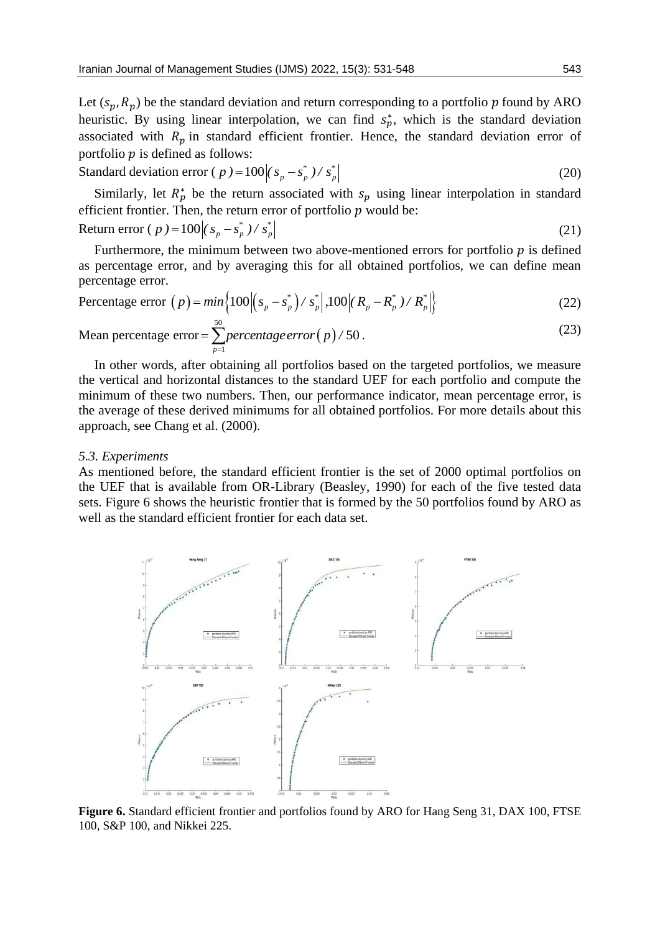Let  $(s_p, R_p)$  be the standard deviation and return corresponding to a portfolio p found by ARO heuristic. By using linear interpolation, we can find  $s_p^*$ , which is the standard deviation associated with  $R_p$  in standard efficient frontier. Hence, the standard deviation error of portfolio  $p$  is defined as follows:

Standard deviation error ( 
$$
p
$$
 ) = 100  $\left| (s_p - s_p^*) / s_p^* \right|$  (20)

Similarly, let  $R_p^*$  be the return associated with  $s_p$  using linear interpolation in standard efficient frontier. Then, the return error of portfolio  $p$  would be: Return error (*p*) =  $100 | (s_p - s_p^*) / s_p^*$ (21)

Furthermore, the minimum between two above-mentioned errors for portfolio  $p$  is defined as percentage error, and by averaging this for all obtained portfolios, we can define mean percentage error.

$$
\text{percentage error, and } \theta \text{ averaging this for an contained portions, we can define mean}
$$
\n
$$
\text{Percentage error } (p) = \min\left\{100 \left| \left(s_p - s_p^*\right) / s_p^*\right|, 100 \left| \left(R_p - R_p^*\right) / R_p^*\right| \right\} \tag{22}
$$

Mean percentage error = 
$$
\sum_{p=1}^{50} percentage\ error(p)/50.
$$
 (23)

In other words, after obtaining all portfolios based on the targeted portfolios, we measure the vertical and horizontal distances to the standard UEF for each portfolio and compute the minimum of these two numbers. Then, our performance indicator, mean percentage error, is the average of these derived minimums for all obtained portfolios. For more details about this approach, see Chang et al. (2000).

#### *5.3. Experiments*

As mentioned before, the standard efficient frontier is the set of 2000 optimal portfolios on the UEF that is available from OR-Library (Beasley, 1990) for each of the five tested data sets. Figure 6 shows the heuristic frontier that is formed by the 50 portfolios found by ARO as well as the standard efficient frontier for each data set.



**Figure 6.** Standard efficient frontier and portfolios found by ARO for Hang Seng 31, DAX 100, FTSE 100, S&P 100, and Nikkei 225.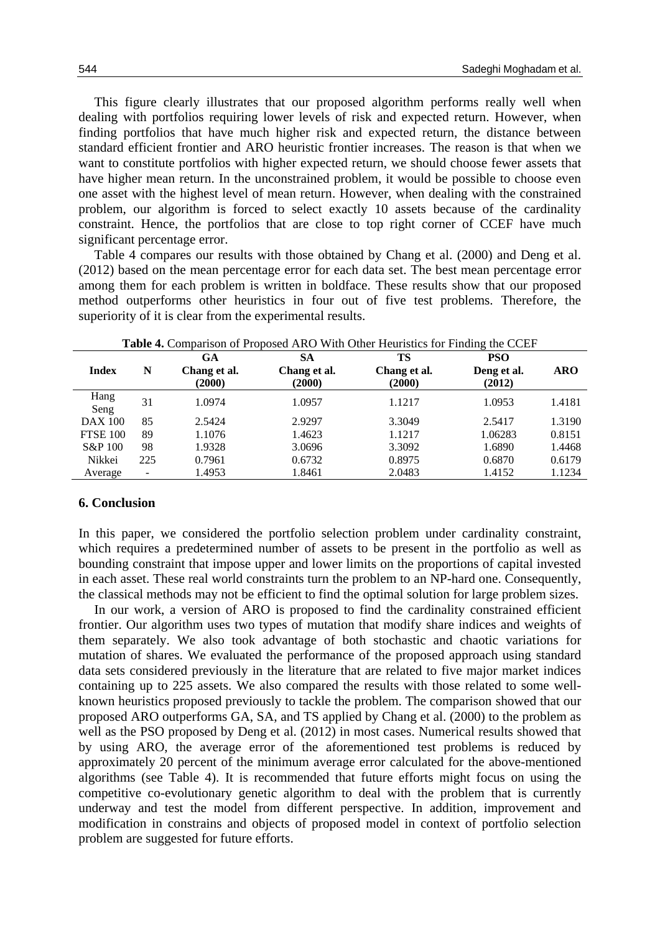This figure clearly illustrates that our proposed algorithm performs really well when dealing with portfolios requiring lower levels of risk and expected return. However, when finding portfolios that have much higher risk and expected return, the distance between standard efficient frontier and ARO heuristic frontier increases. The reason is that when we want to constitute portfolios with higher expected return, we should choose fewer assets that have higher mean return. In the unconstrained problem, it would be possible to choose even one asset with the highest level of mean return. However, when dealing with the constrained problem, our algorithm is forced to select exactly 10 assets because of the cardinality constraint. Hence, the portfolios that are close to top right corner of CCEF have much significant percentage error.

Table 4 compares our results with those obtained by Chang et al. (2000) and Deng et al. (2012) based on the mean percentage error for each data set. The best mean percentage error among them for each problem is written in boldface. These results show that our proposed method outperforms other heuristics in four out of five test problems. Therefore, the superiority of it is clear from the experimental results.

| <b>Table 4.</b> Comparison of Proposed ARO With Other Heuristics for Finding the CCEF |                |                           |                    |                    |                    |            |  |  |
|---------------------------------------------------------------------------------------|----------------|---------------------------|--------------------|--------------------|--------------------|------------|--|--|
| <b>Index</b>                                                                          | N              | <b>GA</b><br>Chang et al. | SА<br>Chang et al. | TS<br>Chang et al. | PSO<br>Deng et al. | <b>ARO</b> |  |  |
|                                                                                       |                | (2000)                    | (2000)             | (2000)             | (2012)             |            |  |  |
| Hang<br>Seng                                                                          | 31             | 1.0974                    | 1.0957             | 1.1217             | 1.0953             | 1.4181     |  |  |
| <b>DAX 100</b>                                                                        | 85             | 2.5424                    | 2.9297             | 3.3049             | 2.5417             | 1.3190     |  |  |
| <b>FTSE 100</b>                                                                       | 89             | 1.1076                    | 1.4623             | 1.1217             | 1.06283            | 0.8151     |  |  |
| S&P 100                                                                               | 98             | 1.9328                    | 3.0696             | 3.3092             | 1.6890             | 1.4468     |  |  |
| Nikkei                                                                                | 225            | 0.7961                    | 0.6732             | 0.8975             | 0.6870             | 0.6179     |  |  |
| Average                                                                               | $\blacksquare$ | 1.4953                    | 1.8461             | 2.0483             | 1.4152             | 1.1234     |  |  |

## **6. Conclusion**

In this paper, we considered the portfolio selection problem under cardinality constraint, which requires a predetermined number of assets to be present in the portfolio as well as bounding constraint that impose upper and lower limits on the proportions of capital invested in each asset. These real world constraints turn the problem to an NP-hard one. Consequently, the classical methods may not be efficient to find the optimal solution for large problem sizes.

In our work, a version of ARO is proposed to find the cardinality constrained efficient frontier. Our algorithm uses two types of mutation that modify share indices and weights of them separately. We also took advantage of both stochastic and chaotic variations for mutation of shares. We evaluated the performance of the proposed approach using standard data sets considered previously in the literature that are related to five major market indices containing up to 225 assets. We also compared the results with those related to some wellknown heuristics proposed previously to tackle the problem. The comparison showed that our proposed ARO outperforms GA, SA, and TS applied by Chang et al. (2000) to the problem as well as the PSO proposed by Deng et al. (2012) in most cases. Numerical results showed that by using ARO, the average error of the aforementioned test problems is reduced by approximately 20 percent of the minimum average error calculated for the above-mentioned algorithms (see Table 4). It is recommended that future efforts might focus on using the competitive co-evolutionary genetic algorithm to deal with the problem that is currently underway and test the model from different perspective. In addition, improvement and modification in constrains and objects of proposed model in context of portfolio selection problem are suggested for future efforts.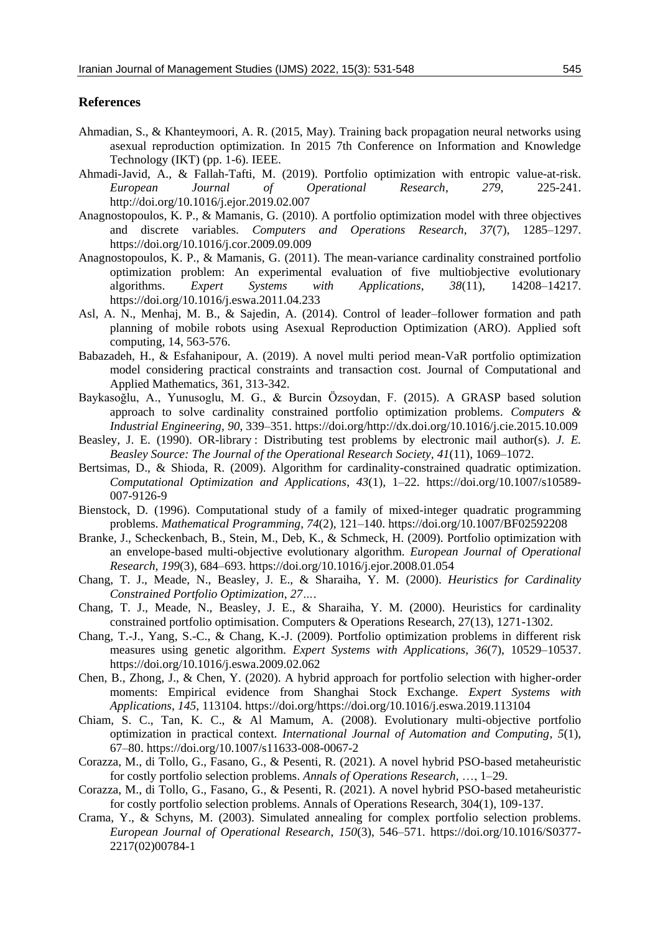### **References**

- Ahmadian, S., & Khanteymoori, A. R. (2015, May). Training back propagation neural networks using asexual reproduction optimization. In 2015 7th Conference on Information and Knowledge Technology (IKT) (pp. 1-6). IEEE.
- Ahmadi-Javid, A., & Fallah-Tafti, M. (2019). Portfolio optimization with entropic value-at-risk. *European Journal of Operational Research*, *279*, 225-241. http://doi.org/10.1016/j.ejor.2019.02.007
- Anagnostopoulos, K. P., & Mamanis, G. (2010). A portfolio optimization model with three objectives and discrete variables. *Computers and Operations Research*, *37*(7), 1285–1297. https://doi.org/10.1016/j.cor.2009.09.009
- Anagnostopoulos, K. P., & Mamanis, G. (2011). The mean-variance cardinality constrained portfolio optimization problem: An experimental evaluation of five multiobjective evolutionary algorithms. *Expert Systems with Applications*, *38*(11), 14208–14217. https://doi.org/10.1016/j.eswa.2011.04.233
- Asl, A. N., Menhaj, M. B., & Sajedin, A. (2014). Control of leader–follower formation and path planning of mobile robots using Asexual Reproduction Optimization (ARO). Applied soft computing, 14, 563-576.
- Babazadeh, H., & Esfahanipour, A. (2019). A novel multi period mean-VaR portfolio optimization model considering practical constraints and transaction cost. Journal of Computational and Applied Mathematics, 361, 313-342.
- Baykasoğlu, A., Yunusoglu, M. G., & Burcin Özsoydan, F. (2015). A GRASP based solution approach to solve cardinality constrained portfolio optimization problems. *Computers & Industrial Engineering*, *90*, 339–351. https://doi.org/http://dx.doi.org/10.1016/j.cie.2015.10.009
- Beasley, J. E. (1990). OR-library : Distributing test problems by electronic mail author(s). *J. E. Beasley Source: The Journal of the Operational Research Society, 41*(11), 1069–1072.
- Bertsimas, D., & Shioda, R. (2009). Algorithm for cardinality-constrained quadratic optimization. *Computational Optimization and Applications*, *43*(1), 1–22. https://doi.org/10.1007/s10589- 007-9126-9
- Bienstock, D. (1996). Computational study of a family of mixed-integer quadratic programming problems. *Mathematical Programming*, *74*(2), 121–140. https://doi.org/10.1007/BF02592208
- Branke, J., Scheckenbach, B., Stein, M., Deb, K., & Schmeck, H. (2009). Portfolio optimization with an envelope-based multi-objective evolutionary algorithm. *European Journal of Operational Research*, *199*(3), 684–693. https://doi.org/10.1016/j.ejor.2008.01.054
- Chang, T. J., Meade, N., Beasley, J. E., & Sharaiha, Y. M. (2000). *Heuristics for Cardinality Constrained Portfolio Optimization*, *27…*.
- Chang, T. J., Meade, N., Beasley, J. E., & Sharaiha, Y. M. (2000). Heuristics for cardinality constrained portfolio optimisation. Computers & Operations Research, 27(13), 1271-1302.
- Chang, T.-J., Yang, S.-C., & Chang, K.-J. (2009). Portfolio optimization problems in different risk measures using genetic algorithm. *Expert Systems with Applications*, *36*(7), 10529–10537. https://doi.org/10.1016/j.eswa.2009.02.062
- Chen, B., Zhong, J., & Chen, Y. (2020). A hybrid approach for portfolio selection with higher-order moments: Empirical evidence from Shanghai Stock Exchange. *Expert Systems with Applications*, *145*, 113104. https://doi.org/https://doi.org/10.1016/j.eswa.2019.113104
- Chiam, S. C., Tan, K. C., & Al Mamum, A. (2008). Evolutionary multi-objective portfolio optimization in practical context. *International Journal of Automation and Computing*, *5*(1), 67–80. https://doi.org/10.1007/s11633-008-0067-2
- Corazza, M., di Tollo, G., Fasano, G., & Pesenti, R. (2021). A novel hybrid PSO-based metaheuristic for costly portfolio selection problems. *Annals of Operations Research*, …, 1–29.
- Corazza, M., di Tollo, G., Fasano, G., & Pesenti, R. (2021). A novel hybrid PSO-based metaheuristic for costly portfolio selection problems. Annals of Operations Research, 304(1), 109-137.
- Crama, Y., & Schyns, M. (2003). Simulated annealing for complex portfolio selection problems. *European Journal of Operational Research*, *150*(3), 546–571. https://doi.org/10.1016/S0377- 2217(02)00784-1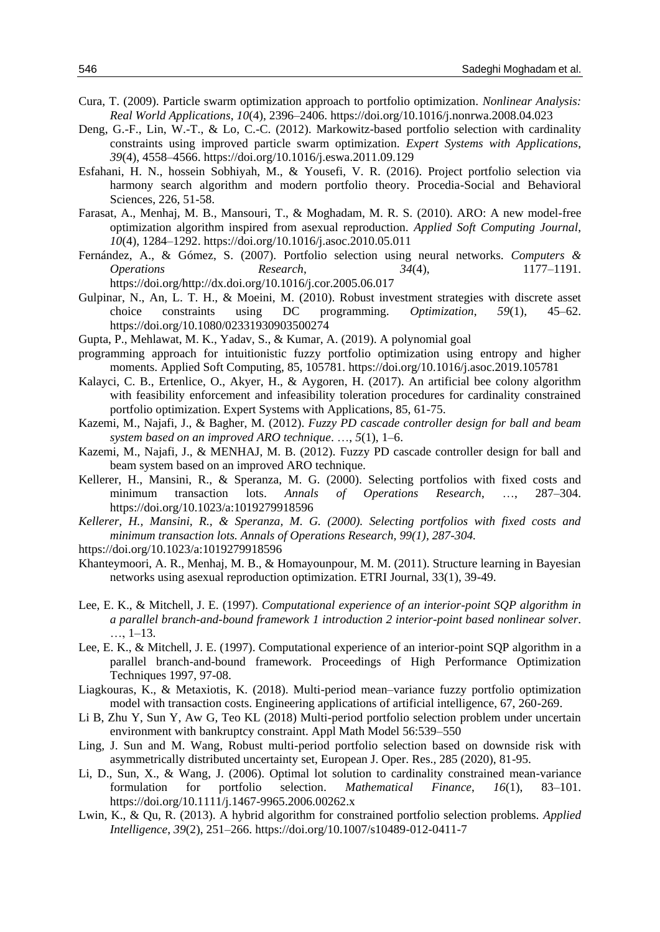- Cura, T. (2009). Particle swarm optimization approach to portfolio optimization. *Nonlinear Analysis: Real World Applications*, *10*(4), 2396–2406. https://doi.org/10.1016/j.nonrwa.2008.04.023
- Deng, G.-F., Lin, W.-T., & Lo, C.-C. (2012). Markowitz-based portfolio selection with cardinality constraints using improved particle swarm optimization. *Expert Systems with Applications*, *39*(4), 4558–4566. https://doi.org/10.1016/j.eswa.2011.09.129
- Esfahani, H. N., hossein Sobhiyah, M., & Yousefi, V. R. (2016). Project portfolio selection via harmony search algorithm and modern portfolio theory. Procedia-Social and Behavioral Sciences, 226, 51-58.
- Farasat, A., Menhaj, M. B., Mansouri, T., & Moghadam, M. R. S. (2010). ARO: A new model-free optimization algorithm inspired from asexual reproduction. *Applied Soft Computing Journal*, *10*(4), 1284–1292. https://doi.org/10.1016/j.asoc.2010.05.011
- Fernández, A., & Gómez, S. (2007). Portfolio selection using neural networks. *Computers & Operations Research*, *34*(4), 1177–1191. https://doi.org/http://dx.doi.org/10.1016/j.cor.2005.06.017
- Gulpinar, N., An, L. T. H., & Moeini, M. (2010). Robust investment strategies with discrete asset choice constraints using DC programming. *Optimization*, *59*(1), 45–62. https://doi.org/10.1080/02331930903500274
- Gupta, P., Mehlawat, M. K., Yadav, S., & Kumar, A. (2019). A polynomial goal
- programming approach for intuitionistic fuzzy portfolio optimization using entropy and higher moments. Applied Soft Computing, 85, 105781. https://doi.org/10.1016/j.asoc.2019.105781
- Kalayci, C. B., Ertenlice, O., Akyer, H., & Aygoren, H. (2017). An artificial bee colony algorithm with feasibility enforcement and infeasibility toleration procedures for cardinality constrained portfolio optimization. Expert Systems with Applications, 85, 61-75.
- Kazemi, M., Najafi, J., & Bagher, M. (2012). *Fuzzy PD cascade controller design for ball and beam system based on an improved ARO technique*. …, *5*(1), 1–6.
- Kazemi, M., Najafi, J., & MENHAJ, M. B. (2012). Fuzzy PD cascade controller design for ball and beam system based on an improved ARO technique.
- Kellerer, H., Mansini, R., & Speranza, M. G. (2000). Selecting portfolios with fixed costs and minimum transaction lots. *Annals of Operations Research*, …, 287–304. https://doi.org/10.1023/a:1019279918596
- *Kellerer, H., Mansini, R., & Speranza, M. G. (2000). Selecting portfolios with fixed costs and minimum transaction lots. Annals of Operations Research, 99(1), 287-304.*

https://doi.org/10.1023/a:1019279918596

- Khanteymoori, A. R., Menhaj, M. B., & Homayounpour, M. M. (2011). Structure learning in Bayesian networks using asexual reproduction optimization. ETRI Journal, 33(1), 39-49.
- Lee, E. K., & Mitchell, J. E. (1997). *Computational experience of an interior-point SQP algorithm in a parallel branch-and-bound framework 1 introduction 2 interior-point based nonlinear solver*. …, 1–13.
- Lee, E. K., & Mitchell, J. E. (1997). Computational experience of an interior-point SQP algorithm in a parallel branch-and-bound framework. Proceedings of High Performance Optimization Techniques 1997, 97-08.
- Liagkouras, K., & Metaxiotis, K. (2018). Multi-period mean–variance fuzzy portfolio optimization model with transaction costs. Engineering applications of artificial intelligence, 67, 260-269.
- Li B, Zhu Y, Sun Y, Aw G, Teo KL (2018) Multi-period portfolio selection problem under uncertain environment with bankruptcy constraint. Appl Math Model 56:539–550
- Ling, J. Sun and M. Wang, Robust multi-period portfolio selection based on downside risk with asymmetrically distributed uncertainty set, European J. Oper. Res., 285 (2020), 81-95.
- Li, D., Sun, X., & Wang, J. (2006). Optimal lot solution to cardinality constrained mean-variance formulation for portfolio selection. *Mathematical Finance*, *16*(1), 83–101. https://doi.org/10.1111/j.1467-9965.2006.00262.x
- Lwin, K., & Qu, R. (2013). A hybrid algorithm for constrained portfolio selection problems. *Applied Intelligence*, *39*(2), 251–266. https://doi.org/10.1007/s10489-012-0411-7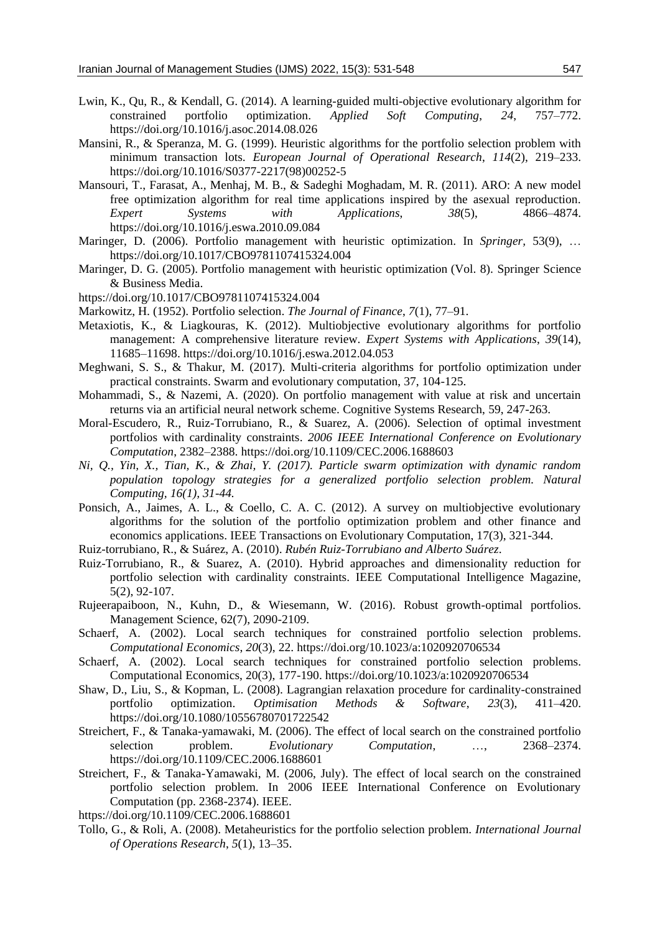- Lwin, K., Qu, R., & Kendall, G. (2014). A learning-guided multi-objective evolutionary algorithm for constrained portfolio optimization. *Applied Soft Computing*, *24*, 757–772. https://doi.org/10.1016/j.asoc.2014.08.026
- Mansini, R., & Speranza, M. G. (1999). Heuristic algorithms for the portfolio selection problem with minimum transaction lots. *European Journal of Operational Research*, *114*(2), 219–233. https://doi.org/10.1016/S0377-2217(98)00252-5
- Mansouri, T., Farasat, A., Menhaj, M. B., & Sadeghi Moghadam, M. R. (2011). ARO: A new model free optimization algorithm for real time applications inspired by the asexual reproduction. *Expert Systems with Applications*, *38*(5), 4866–4874. https://doi.org/10.1016/j.eswa.2010.09.084
- Maringer, D. (2006). Portfolio management with heuristic optimization. In *Springer,* 53(9), … https://doi.org/10.1017/CBO9781107415324.004
- Maringer, D. G. (2005). Portfolio management with heuristic optimization (Vol. 8). Springer Science & Business Media.
- https://doi.org/10.1017/CBO9781107415324.004
- Markowitz, H. (1952). Portfolio selection. *The Journal of Finance*, *7*(1), 77–91.
- Metaxiotis, K., & Liagkouras, K. (2012). Multiobjective evolutionary algorithms for portfolio management: A comprehensive literature review. *Expert Systems with Applications*, *39*(14), 11685–11698. https://doi.org/10.1016/j.eswa.2012.04.053
- Meghwani, S. S., & Thakur, M. (2017). Multi-criteria algorithms for portfolio optimization under practical constraints. Swarm and evolutionary computation, 37, 104-125.
- Mohammadi, S., & Nazemi, A. (2020). On portfolio management with value at risk and uncertain returns via an artificial neural network scheme. Cognitive Systems Research, 59, 247-263.
- Moral-Escudero, R., Ruiz-Torrubiano, R., & Suarez, A. (2006). Selection of optimal investment portfolios with cardinality constraints. *2006 IEEE International Conference on Evolutionary Computation*, 2382–2388. https://doi.org/10.1109/CEC.2006.1688603
- *Ni, Q., Yin, X., Tian, K., & Zhai, Y. (2017). Particle swarm optimization with dynamic random population topology strategies for a generalized portfolio selection problem. Natural Computing, 16(1), 31-44.*
- Ponsich, A., Jaimes, A. L., & Coello, C. A. C. (2012). A survey on multiobjective evolutionary algorithms for the solution of the portfolio optimization problem and other finance and economics applications. IEEE Transactions on Evolutionary Computation, 17(3), 321-344.
- Ruiz-torrubiano, R., & Suárez, A. (2010). *Rubén Ruiz-Torrubiano and Alberto Suárez*.
- Ruiz-Torrubiano, R., & Suarez, A. (2010). Hybrid approaches and dimensionality reduction for portfolio selection with cardinality constraints. IEEE Computational Intelligence Magazine, 5(2), 92-107.
- Rujeerapaiboon, N., Kuhn, D., & Wiesemann, W. (2016). Robust growth-optimal portfolios. Management Science, 62(7), 2090-2109.
- Schaerf, A. (2002). Local search techniques for constrained portfolio selection problems. *Computational Economics*, *20*(3), 22. https://doi.org/10.1023/a:1020920706534
- Schaerf, A. (2002). Local search techniques for constrained portfolio selection problems. Computational Economics, 20(3), 177-190. https://doi.org/10.1023/a:1020920706534
- Shaw, D., Liu, S., & Kopman, L. (2008). Lagrangian relaxation procedure for cardinality-constrained portfolio optimization. *Optimisation Methods & Software*, *23*(3), 411–420. https://doi.org/10.1080/10556780701722542
- Streichert, F., & Tanaka-yamawaki, M. (2006). The effect of local search on the constrained portfolio selection problem. *Evolutionary Computation*, …, 2368–2374. https://doi.org/10.1109/CEC.2006.1688601
- Streichert, F., & Tanaka-Yamawaki, M. (2006, July). The effect of local search on the constrained portfolio selection problem. In 2006 IEEE International Conference on Evolutionary Computation (pp. 2368-2374). IEEE.
- https://doi.org/10.1109/CEC.2006.1688601
- Tollo, G., & Roli, A. (2008). Metaheuristics for the portfolio selection problem. *International Journal of Operations Research*, *5*(1), 13–35.